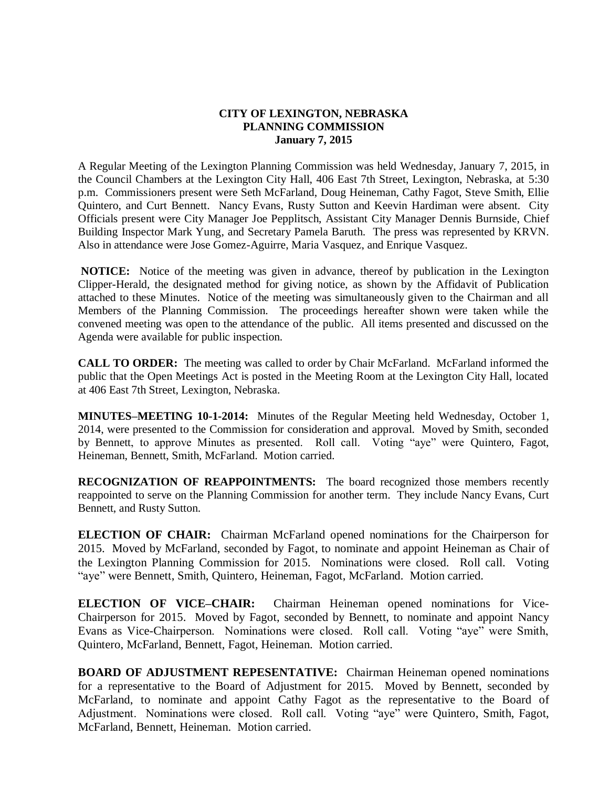## **CITY OF LEXINGTON, NEBRASKA PLANNING COMMISSION January 7, 2015**

A Regular Meeting of the Lexington Planning Commission was held Wednesday, January 7, 2015, in the Council Chambers at the Lexington City Hall, 406 East 7th Street, Lexington, Nebraska, at 5:30 p.m. Commissioners present were Seth McFarland, Doug Heineman, Cathy Fagot, Steve Smith, Ellie Quintero, and Curt Bennett. Nancy Evans, Rusty Sutton and Keevin Hardiman were absent. City Officials present were City Manager Joe Pepplitsch, Assistant City Manager Dennis Burnside, Chief Building Inspector Mark Yung, and Secretary Pamela Baruth. The press was represented by KRVN. Also in attendance were Jose Gomez-Aguirre, Maria Vasquez, and Enrique Vasquez.

**NOTICE:** Notice of the meeting was given in advance, thereof by publication in the Lexington Clipper-Herald, the designated method for giving notice, as shown by the Affidavit of Publication attached to these Minutes. Notice of the meeting was simultaneously given to the Chairman and all Members of the Planning Commission. The proceedings hereafter shown were taken while the convened meeting was open to the attendance of the public. All items presented and discussed on the Agenda were available for public inspection.

CALL TO ORDER: The meeting was called to order by Chair McFarland. McFarland informed the public that the Open Meetings Act is posted in the Meeting Room at the Lexington City Hall, located at 406 East 7th Street, Lexington, Nebraska.

**MINUTES–MEETING 10-1-2014:** Minutes of the Regular Meeting held Wednesday, October 1, 2014, were presented to the Commission for consideration and approval. Moved by Smith, seconded by Bennett, to approve Minutes as presented. Roll call. Voting "aye" were Quintero, Fagot, Heineman, Bennett, Smith, McFarland. Motion carried.

**RECOGNIZATION OF REAPPOINTMENTS:** The board recognized those members recently reappointed to serve on the Planning Commission for another term. They include Nancy Evans, Curt Bennett, and Rusty Sutton.

**ELECTION OF CHAIR:** Chairman McFarland opened nominations for the Chairperson for 2015. Moved by McFarland, seconded by Fagot, to nominate and appoint Heineman as Chair of the Lexington Planning Commission for 2015. Nominations were closed. Roll call. Voting "aye" were Bennett, Smith, Quintero, Heineman, Fagot, McFarland. Motion carried.

**ELECTION OF VICE–CHAIR:** Chairman Heineman opened nominations for Vice-Chairperson for 2015. Moved by Fagot, seconded by Bennett, to nominate and appoint Nancy Evans as Vice-Chairperson. Nominations were closed. Roll call. Voting "aye" were Smith, Quintero, McFarland, Bennett, Fagot, Heineman. Motion carried.

**BOARD OF ADJUSTMENT REPESENTATIVE:** Chairman Heineman opened nominations for a representative to the Board of Adjustment for 2015. Moved by Bennett, seconded by McFarland, to nominate and appoint Cathy Fagot as the representative to the Board of Adjustment. Nominations were closed. Roll call. Voting "aye" were Quintero, Smith, Fagot, McFarland, Bennett, Heineman. Motion carried.